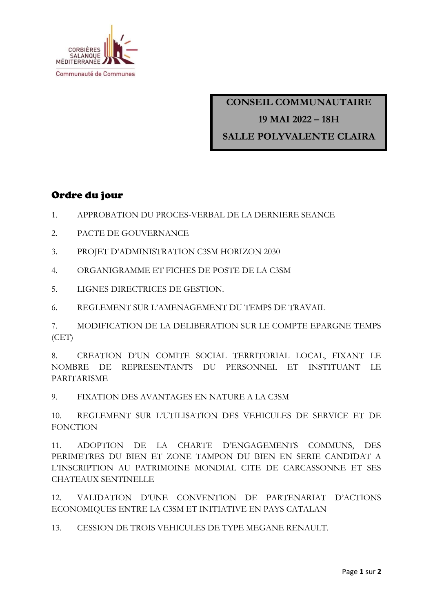

**CONSEIL COMMUNAUTAIRE 19 MAI 2022 – 18H SALLE POLYVALENTE CLAIRA**

## Ordre du jour

- 1. APPROBATION DU PROCES-VERBAL DE LA DERNIERE SEANCE
- 2. PACTE DE GOUVERNANCE
- 3. PROJET D'ADMINISTRATION C3SM HORIZON 2030
- 4. ORGANIGRAMME ET FICHES DE POSTE DE LA C3SM
- 5. LIGNES DIRECTRICES DE GESTION.

6. REGLEMENT SUR L'AMENAGEMENT DU TEMPS DE TRAVAIL

7. MODIFICATION DE LA DELIBERATION SUR LE COMPTE EPARGNE TEMPS (CET)

8. CREATION D'UN COMITE SOCIAL TERRITORIAL LOCAL, FIXANT LE NOMBRE DE REPRESENTANTS DU PERSONNEL ET INSTITUANT LE PARITARISME

9. FIXATION DES AVANTAGES EN NATURE A LA C3SM

10. REGLEMENT SUR L'UTILISATION DES VEHICULES DE SERVICE ET DE FONCTION

11. ADOPTION DE LA CHARTE D'ENGAGEMENTS COMMUNS, DES PERIMETRES DU BIEN ET ZONE TAMPON DU BIEN EN SERIE CANDIDAT A L'INSCRIPTION AU PATRIMOINE MONDIAL CITE DE CARCASSONNE ET SES CHATEAUX SENTINELLE

12. VALIDATION D'UNE CONVENTION DE PARTENARIAT D'ACTIONS ECONOMIQUES ENTRE LA C3SM ET INITIATIVE EN PAYS CATALAN

13. CESSION DE TROIS VEHICULES DE TYPE MEGANE RENAULT.